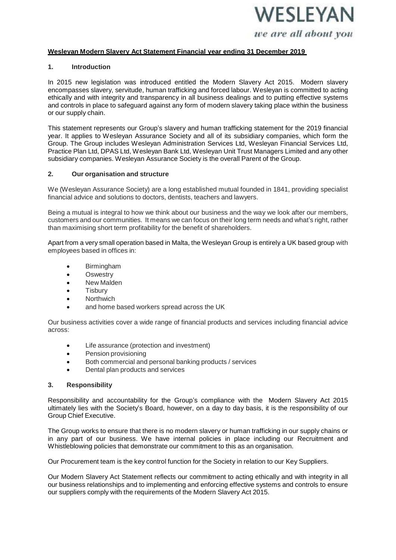

### **Wesleyan Modern Slavery Act Statement Financial year ending 31 December 2019**

#### **1. Introduction**

In 2015 new legislation was introduced entitled the Modern Slavery Act 2015. Modern slavery encompasses slavery, servitude, human trafficking and forced labour. Wesleyan is committed to acting ethically and with integrity and transparency in all business dealings and to putting effective systems and controls in place to safeguard against any form of modern slavery taking place within the business or our supply chain.

This statement represents our Group's slavery and human trafficking statement for the 2019 financial year. It applies to Wesleyan Assurance Society and all of its subsidiary companies, which form the Group. The Group includes Wesleyan Administration Services Ltd, Wesleyan Financial Services Ltd, Practice Plan Ltd, DPAS Ltd, Wesleyan Bank Ltd, Wesleyan Unit Trust Managers Limited and any other subsidiary companies. Wesleyan Assurance Society is the overall Parent of the Group.

### **2. Our organisation and structure**

We (Wesleyan Assurance Society) are a long established mutual founded in 1841, providing specialist financial advice and solutions to doctors, dentists, teachers and lawyers.

Being a mutual is integral to how we think about our business and the way we look after our members, customers and our communities. It means we can focus on their long term needs and what's right, rather than maximising short term profitability for the benefit of shareholders.

Apart from a very small operation based in Malta, the Wesleyan Group is entirely a UK based group with employees based in offices in:

- Birmingham
- Oswestry
- New Malden
- **Tisbury**
- Northwich
- and home based workers spread across the UK

Our business activities cover a wide range of financial products and services including financial advice across:

- Life assurance (protection and investment)
- Pension provisioning
- Both commercial and personal banking products / services
- Dental plan products and services

#### **3. Responsibility**

Responsibility and accountability for the Group's compliance with the Modern Slavery Act 2015 ultimately lies with the Society's Board, however, on a day to day basis, it is the responsibility of our Group Chief Executive.

The Group works to ensure that there is no modern slavery or human trafficking in our supply chains or in any part of our business. We have internal policies in place including our Recruitment and Whistleblowing policies that demonstrate our commitment to this as an organisation.

Our Procurement team is the key control function for the Society in relation to our Key Suppliers.

Our Modern Slavery Act Statement reflects our commitment to acting ethically and with integrity in all our business relationships and to implementing and enforcing effective systems and controls to ensure our suppliers comply with the requirements of the Modern Slavery Act 2015.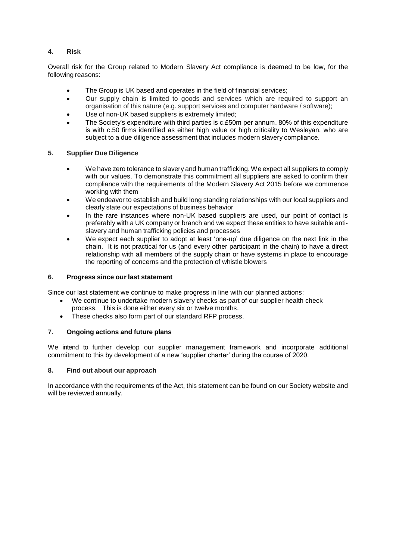# **4. Risk**

Overall risk for the Group related to Modern Slavery Act compliance is deemed to be low, for the following reasons:

- The Group is UK based and operates in the field of financial services;
- Our supply chain is limited to goods and services which are required to support an organisation of this nature (e.g. support services and computer hardware / software);
- Use of non-UK based suppliers is extremely limited;
- The Society's expenditure with third parties is c.£50m per annum. 80% of this expenditure is with c.50 firms identified as either high value or high criticality to Wesleyan, who are subject to a due diligence assessment that includes modern slavery compliance.

## **5. Supplier Due Diligence**

- We have zero tolerance to slavery and human trafficking. We expect all suppliers to comply with our values. To demonstrate this commitment all suppliers are asked to confirm their compliance with the requirements of the Modern Slavery Act 2015 before we commence working with them
- We endeavor to establish and build long standing relationships with our local suppliers and clearly state our expectations of business behavior
- In the rare instances where non-UK based suppliers are used, our point of contact is preferably with a UK company or branch and we expect these entities to have suitable antislavery and human trafficking policies and processes
- We expect each supplier to adopt at least 'one-up' due diligence on the next link in the chain. It is not practical for us (and every other participant in the chain) to have a direct relationship with all members of the supply chain or have systems in place to encourage the reporting of concerns and the protection of whistle blowers

## **6. Progress since our last statement**

Since our last statement we continue to make progress in line with our planned actions:

- We continue to undertake modern slavery checks as part of our supplier health check process. This is done either every six or twelve months.
- These checks also form part of our standard RFP process.

# **7. Ongoing actions and future plans**

We intend to further develop our supplier management framework and incorporate additional commitment to this by development of a new 'supplier charter' during the course of 2020.

## **8. Find out about our approach**

In accordance with the requirements of the Act, this statement can be found on our Society website and will be reviewed annually.